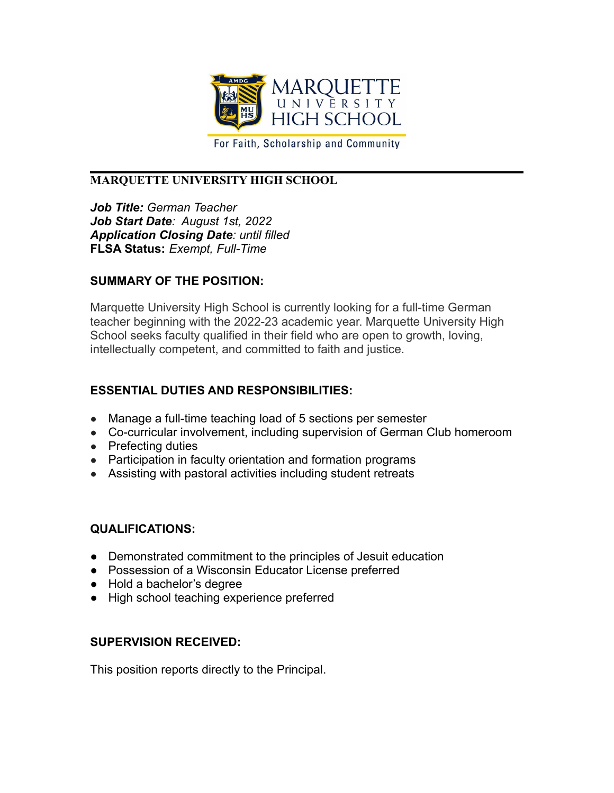

For Faith, Scholarship and Community

## **MARQUETTE UNIVERSITY HIGH SCHOOL**

*Job Title: German Teacher Job Start Date: August 1st, 2022 Application Closing Date: until filled* **FLSA Status:** *Exempt, Full-Time*

### **SUMMARY OF THE POSITION:**

Marquette University High School is currently looking for a full-time German teacher beginning with the 2022-23 academic year. Marquette University High School seeks faculty qualified in their field who are open to growth, loving, intellectually competent, and committed to faith and justice.

## **ESSENTIAL DUTIES AND RESPONSIBILITIES:**

- Manage a full-time teaching load of 5 sections per semester
- Co-curricular involvement, including supervision of German Club homeroom
- Prefecting duties
- Participation in faculty orientation and formation programs
- Assisting with pastoral activities including student retreats

### **QUALIFICATIONS:**

- Demonstrated commitment to the principles of Jesuit education
- Possession of a Wisconsin Educator License preferred
- Hold a bachelor's degree
- High school teaching experience preferred

# **SUPERVISION RECEIVED:**

This position reports directly to the Principal.